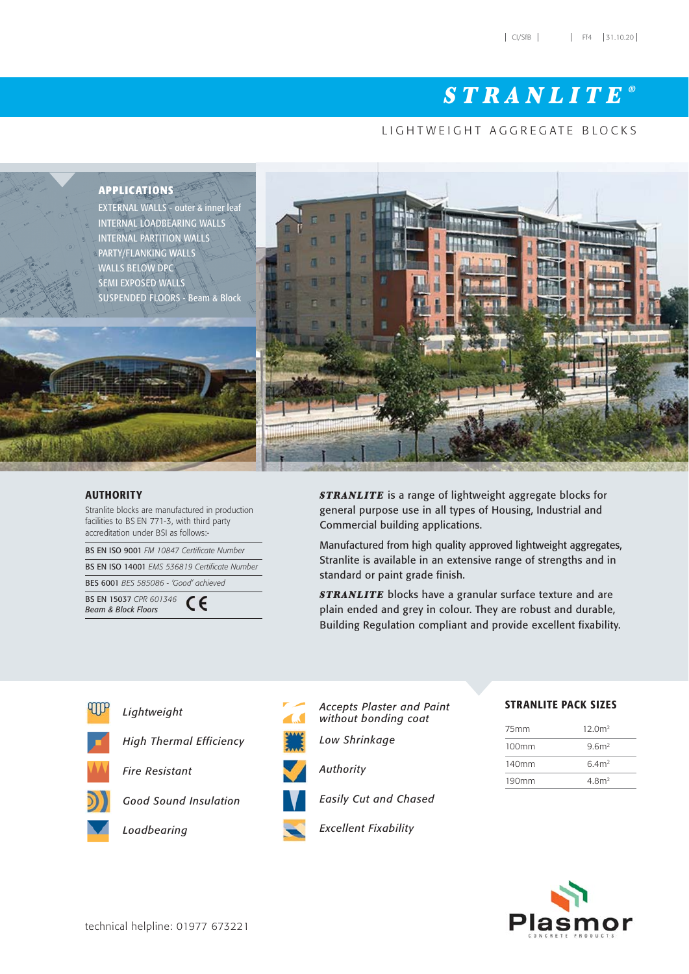# STRANLITE *®*

### LIGHTWEIGHT AGGREGATE BLOCKS



#### AUTHORITY

Stranlite blocks are manufactured in production facilities to BS EN 771-3, with third party accreditation under BSI as follows:-

BS EN ISO 9001 *FM 10847 Certificate Number* 

BS EN ISO 14001 *EMS 536819 Certificate Number*

BES 6001 *BES 585086 - 'Good' achieved* BS EN 15037 *CPR 601346*  CE *Beam & Block Floors*

**STRANLITE** is a range of lightweight aggregate blocks for general purpose use in all types of Housing, Industrial and Commercial building applications.

Manufactured from high quality approved lightweight aggregates, Stranlite is available in an extensive range of strengths and in standard or paint grade finish.

**STRANLITE** blocks have a granular surface texture and are plain ended and grey in colour. They are robust and durable, Building Regulation compliant and provide excellent fixability.



*Lightweight*

*High Thermal Efficiency*

*Fire Resistant*

*Good Sound Insulation*





*Accepts Plaster and Paint without bonding coat*

*Low Shrinkage*



*Easily Cut and Chased*

STRANLITE PACK SIZES

| 75mm              | 12.0 <sup>m2</sup> |
|-------------------|--------------------|
| 100mm             | 9.6 <sup>m²</sup>  |
| 140mm             | 6.4 <sup>2</sup>   |
| 190 <sub>mm</sub> | 4.8 <sup>m2</sup>  |

*Excellent Fixability*

*Authority*

Plasmor